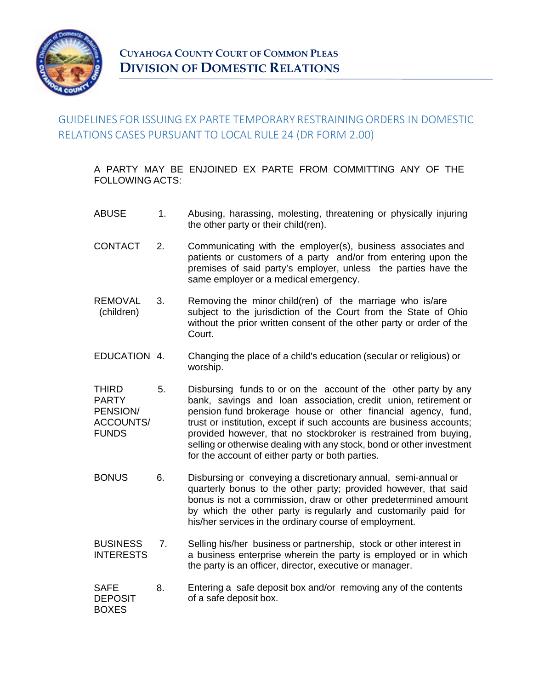

## GUIDELINES FOR ISSUING EX PARTE TEMPORARY RESTRAINING ORDERS IN DOMESTIC RELATIONS CASES PURSUANT TO LOCAL RULE 24 (DR FORM 2.00)

A PARTY MAY BE ENJOINED EX PARTE FROM COMMITTING ANY OF THE FOLLOWING ACTS:

- ABUSE 1. Abusing, harassing, molesting, threatening or physically injuring the other party or their child(ren).
- CONTACT 2. Communicating with the employer(s), business associates and patients or customers of a party and/or from entering upon the premises of said party's employer, unless the parties have the same employer or a medical emergency.
- REMOVAL (children) 3. Removing the minor child(ren) of the marriage who is/are subject to the jurisdiction of the Court from the State of Ohio without the prior written consent of the other party or order of the Court.
- EDUCATION 4. Changing the place of a child's education (secular or religious) or worship.
- THIRD PARTY PENSION/ ACCOUNTS/ FUNDS 5. Disbursing funds to or on the account of the other party by any bank, savings and loan association, credit union, retirement or pension fund brokerage house or other financial agency, fund, trust or institution, except if such accounts are business accounts; provided however, that no stockbroker is restrained from buying, selling or otherwise dealing with any stock, bond or other investment for the account of either party or both parties.
- BONUS 6. Disbursing or conveying a discretionary annual, semi-annual or quarterly bonus to the other party; provided however, that said bonus is not a commission, draw or other predetermined amount by which the other party is regularly and customarily paid for his/her services in the ordinary course of employment.
- **BUSINESS** INTERESTS 7. Selling his/her business or partnership, stock or other interest in a business enterprise wherein the party is employed or in which the party is an officer, director, executive or manager.
- SAFE **DEPOSIT** BOXES 8. Entering a safe deposit box and/or removing any of the contents of a safe deposit box.